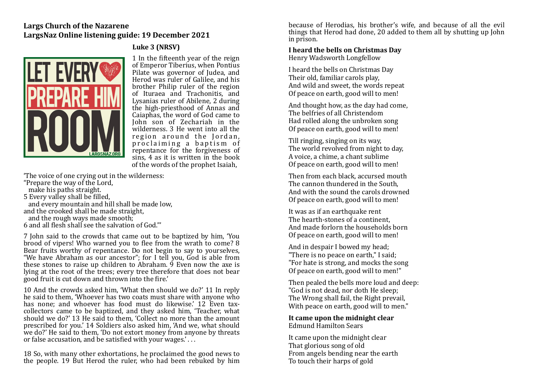#### **Largs Church of the Nazarene** LargsNaz Online listening guide: 19 December 2021

### Luke 3 **(NRSV)**



1 In the fifteenth vear of the reign of Emperor Tiberius, when Pontius Pilate was governor of Judea, and Herod was ruler of Galilee, and his brother Philip ruler of the region of Ituraea and Trachonitis, and Lysanias ruler of Abilene, 2 during the high-priesthood of Annas and Caiaphas, the word of God came to John son of Zechariah in the wilderness. 3 He went into all the region around the Jordan, proclaiming a baptism of repentance for the forgiveness of sins,  $4$  as it is written in the book of the words of the prophet Isaiah.

The voice of one crying out in the wilderness:

"Prepare the way of the Lord,

make his paths straight.

5 Every valley shall be filled.

and every mountain and hill shall be made low. and the crooked shall be made straight, and the rough ways made smooth;

6 and all flesh shall see the salvation of God."'

7 John said to the crowds that came out to be baptized by him, 'You brood of vipers! Who warned you to flee from the wrath to come? 8 Bear fruits worthy of repentance. Do not begin to say to yourselves, "We have Abraham as our ancestor"; for I tell you, God is able from these stones to raise up children to Abraham.  $\overline{9}$  Even now the axe is lying at the root of the trees; every tree therefore that does not bear good fruit is cut down and thrown into the fire.'

10 And the crowds asked him, 'What then should we do?' 11 In reply he said to them, 'Whoever has two coats must share with anyone who has none; and whoever has food must do likewise.' 12 Even taxcollectors came to be baptized, and they asked him, 'Teacher, what should we do?' 13 He said to them, 'Collect no more than the amount prescribed for you.' 14 Soldiers also asked him. 'And we, what should we do?' He said to them, 'Do not extort money from anyone by threats or false accusation, and be satisfied with your wages.'...

18 So, with many other exhortations, he proclaimed the good news to the people. 19 But Herod the ruler, who had been rebuked by him

because of Herodias, his brother's wife, and because of all the evil things that Herod had done, 20 added to them all by shutting up John in prison.

## I heard the bells on Christmas Dav

Henry Wadsworth Longfellow

I heard the bells on Christmas Day Their old, familiar carols play, And wild and sweet, the words repeat Of peace on earth, good will to men!

And thought how, as the day had come, The belfries of all Christendom Had rolled along the unbroken song Of peace on earth, good will to men!

Till ringing, singing on its way. The world revolved from night to day, A voice, a chime, a chant sublime Of peace on earth, good will to men!

Then from each black, accursed mouth The cannon thundered in the South. And with the sound the carols drowned Of peace on earth, good will to men!

It was as if an earthquake rent The hearth-stones of a continent. And made forlorn the households born Of peace on earth, good will to men!

And in despair I bowed my head; "There is no peace on earth," I said; "For hate is strong, and mocks the song Of peace on earth, good will to men!"

Then pealed the bells more loud and deep: "God is not dead, nor doth He sleep; The Wrong shall fail, the Right prevail, With peace on earth, good will to men."

It came upon the midnight clear Edmund Hamilton Sears

It came upon the midnight clear That glorious song of old From angels bending near the earth To touch their harps of gold